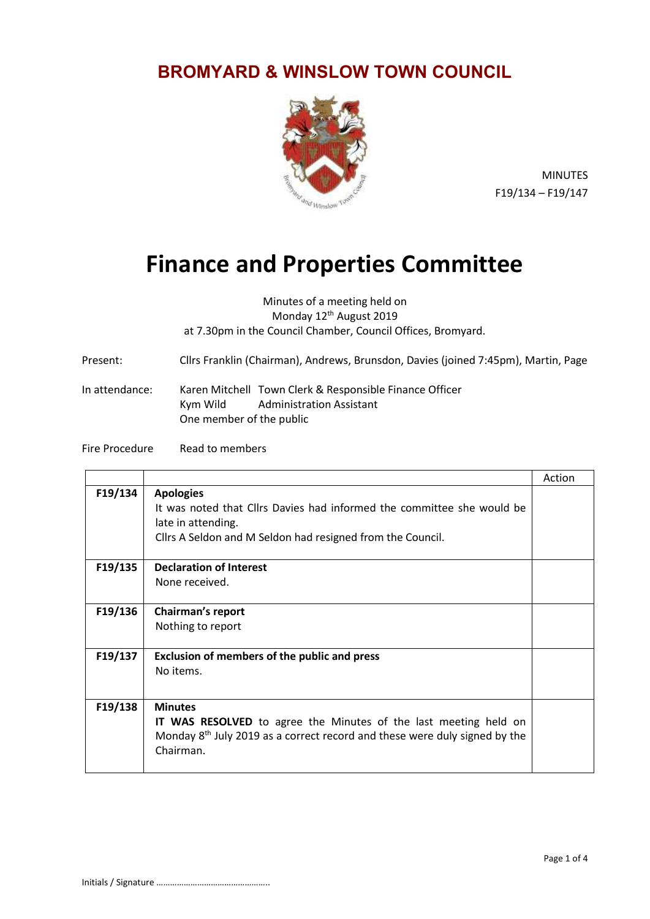## **BROMYARD & WINSLOW TOWN COUNCIL**



MINUTES F19/134 – F19/147

## **Finance and Properties Committee**

Minutes of a meeting held on Monday 12<sup>th</sup> August 2019 at 7.30pm in the Council Chamber, Council Offices, Bromyard.

Present: Cllrs Franklin (Chairman), Andrews, Brunsdon, Davies (joined 7:45pm), Martin, Page

In attendance: Karen Mitchell Town Clerk & Responsible Finance Officer Kym Wild Administration Assistant One member of the public

Fire Procedure Read to members

|         |                                                                                                                                                                                           | Action |
|---------|-------------------------------------------------------------------------------------------------------------------------------------------------------------------------------------------|--------|
| F19/134 | <b>Apologies</b><br>It was noted that Cllrs Davies had informed the committee she would be<br>late in attending.<br>Cllrs A Seldon and M Seldon had resigned from the Council.            |        |
| F19/135 | <b>Declaration of Interest</b><br>None received.                                                                                                                                          |        |
| F19/136 | Chairman's report<br>Nothing to report                                                                                                                                                    |        |
| F19/137 | <b>Exclusion of members of the public and press</b><br>No items.                                                                                                                          |        |
| F19/138 | <b>Minutes</b><br>IT WAS RESOLVED to agree the Minutes of the last meeting held on<br>Monday 8 <sup>th</sup> July 2019 as a correct record and these were duly signed by the<br>Chairman. |        |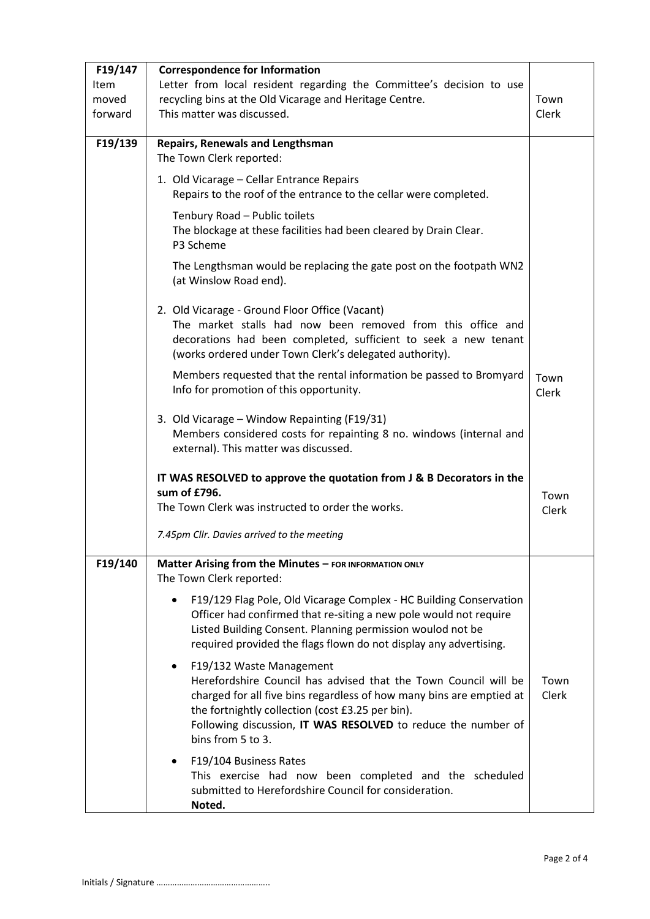| F19/147<br>Item<br>moved<br>forward | <b>Correspondence for Information</b><br>Letter from local resident regarding the Committee's decision to use<br>recycling bins at the Old Vicarage and Heritage Centre.<br>This matter was discussed.                                                                                                        | Town<br>Clerk |
|-------------------------------------|---------------------------------------------------------------------------------------------------------------------------------------------------------------------------------------------------------------------------------------------------------------------------------------------------------------|---------------|
| F19/139                             | <b>Repairs, Renewals and Lengthsman</b><br>The Town Clerk reported:                                                                                                                                                                                                                                           |               |
|                                     | 1. Old Vicarage - Cellar Entrance Repairs<br>Repairs to the roof of the entrance to the cellar were completed.                                                                                                                                                                                                |               |
|                                     | Tenbury Road - Public toilets<br>The blockage at these facilities had been cleared by Drain Clear.<br>P3 Scheme                                                                                                                                                                                               |               |
|                                     | The Lengthsman would be replacing the gate post on the footpath WN2<br>(at Winslow Road end).                                                                                                                                                                                                                 |               |
|                                     | 2. Old Vicarage - Ground Floor Office (Vacant)<br>The market stalls had now been removed from this office and<br>decorations had been completed, sufficient to seek a new tenant<br>(works ordered under Town Clerk's delegated authority).                                                                   |               |
|                                     | Members requested that the rental information be passed to Bromyard<br>Info for promotion of this opportunity.                                                                                                                                                                                                | Town<br>Clerk |
|                                     | 3. Old Vicarage - Window Repainting (F19/31)<br>Members considered costs for repainting 8 no. windows (internal and<br>external). This matter was discussed.                                                                                                                                                  |               |
|                                     | IT WAS RESOLVED to approve the quotation from J & B Decorators in the<br>sum of £796.<br>The Town Clerk was instructed to order the works.                                                                                                                                                                    | Town<br>Clerk |
|                                     | 7.45pm Cllr. Davies arrived to the meeting                                                                                                                                                                                                                                                                    |               |
| F19/140                             | Matter Arising from the Minutes - FOR INFORMATION ONLY<br>The Town Clerk reported:                                                                                                                                                                                                                            |               |
|                                     | F19/129 Flag Pole, Old Vicarage Complex - HC Building Conservation<br>Officer had confirmed that re-siting a new pole would not require<br>Listed Building Consent. Planning permission woulod not be<br>required provided the flags flown do not display any advertising.                                    |               |
|                                     | F19/132 Waste Management<br>Herefordshire Council has advised that the Town Council will be<br>charged for all five bins regardless of how many bins are emptied at<br>the fortnightly collection (cost £3.25 per bin).<br>Following discussion, IT WAS RESOLVED to reduce the number of<br>bins from 5 to 3. | Town<br>Clerk |
|                                     | F19/104 Business Rates<br>This exercise had now been completed and the scheduled<br>submitted to Herefordshire Council for consideration.<br>Noted.                                                                                                                                                           |               |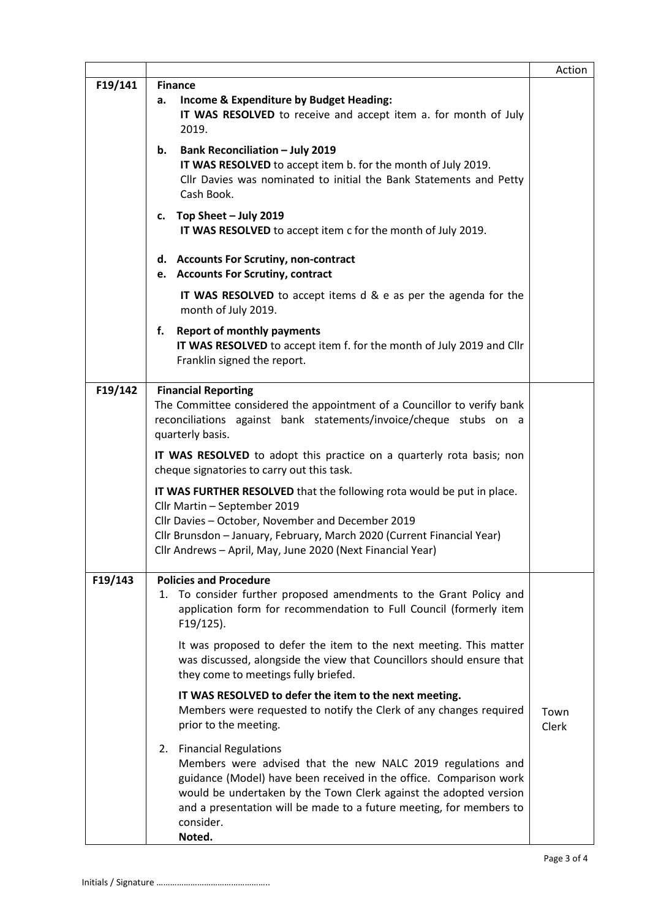|         |                                                                                                                                                                                                                                                                                                                                  | Action        |
|---------|----------------------------------------------------------------------------------------------------------------------------------------------------------------------------------------------------------------------------------------------------------------------------------------------------------------------------------|---------------|
| F19/141 | <b>Finance</b><br>Income & Expenditure by Budget Heading:<br>а.<br>IT WAS RESOLVED to receive and accept item a. for month of July<br>2019.                                                                                                                                                                                      |               |
|         | <b>Bank Reconciliation - July 2019</b><br>b.<br>IT WAS RESOLVED to accept item b. for the month of July 2019.<br>Cllr Davies was nominated to initial the Bank Statements and Petty<br>Cash Book.                                                                                                                                |               |
|         | c. Top Sheet - July 2019<br>IT WAS RESOLVED to accept item c for the month of July 2019.                                                                                                                                                                                                                                         |               |
|         | d. Accounts For Scrutiny, non-contract<br>e. Accounts For Scrutiny, contract                                                                                                                                                                                                                                                     |               |
|         | <b>IT WAS RESOLVED</b> to accept items d & e as per the agenda for the<br>month of July 2019.                                                                                                                                                                                                                                    |               |
|         | <b>Report of monthly payments</b><br>f.<br>IT WAS RESOLVED to accept item f. for the month of July 2019 and Cllr<br>Franklin signed the report.                                                                                                                                                                                  |               |
| F19/142 | <b>Financial Reporting</b><br>The Committee considered the appointment of a Councillor to verify bank<br>reconciliations against bank statements/invoice/cheque stubs on a<br>quarterly basis.                                                                                                                                   |               |
|         | IT WAS RESOLVED to adopt this practice on a quarterly rota basis; non<br>cheque signatories to carry out this task.                                                                                                                                                                                                              |               |
|         | IT WAS FURTHER RESOLVED that the following rota would be put in place.<br>Cllr Martin - September 2019<br>Cllr Davies - October, November and December 2019<br>Cllr Brunsdon - January, February, March 2020 (Current Financial Year)<br>Cllr Andrews - April, May, June 2020 (Next Financial Year)                              |               |
| F19/143 | <b>Policies and Procedure</b><br>1. To consider further proposed amendments to the Grant Policy and<br>application form for recommendation to Full Council (formerly item<br>$F19/125$ ).                                                                                                                                        |               |
|         | It was proposed to defer the item to the next meeting. This matter<br>was discussed, alongside the view that Councillors should ensure that<br>they come to meetings fully briefed.                                                                                                                                              |               |
|         | IT WAS RESOLVED to defer the item to the next meeting.<br>Members were requested to notify the Clerk of any changes required<br>prior to the meeting.                                                                                                                                                                            | Town<br>Clerk |
|         | 2. Financial Regulations<br>Members were advised that the new NALC 2019 regulations and<br>guidance (Model) have been received in the office. Comparison work<br>would be undertaken by the Town Clerk against the adopted version<br>and a presentation will be made to a future meeting, for members to<br>consider.<br>Noted. |               |